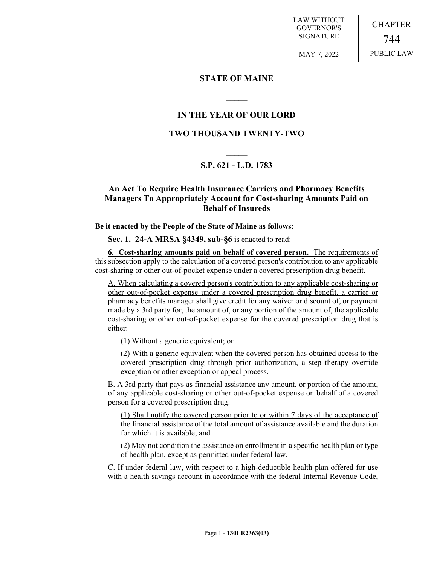LAW WITHOUT GOVERNOR'S SIGNATURE

CHAPTER 744 PUBLIC LAW

MAY 7, 2022

### **STATE OF MAINE**

# **IN THE YEAR OF OUR LORD**

**\_\_\_\_\_**

# **TWO THOUSAND TWENTY-TWO**

# **\_\_\_\_\_ S.P. 621 - L.D. 1783**

### **An Act To Require Health Insurance Carriers and Pharmacy Benefits Managers To Appropriately Account for Cost-sharing Amounts Paid on Behalf of Insureds**

#### **Be it enacted by the People of the State of Maine as follows:**

**Sec. 1. 24-A MRSA §4349, sub-§6** is enacted to read:

**6. Cost-sharing amounts paid on behalf of covered person.** The requirements of this subsection apply to the calculation of a covered person's contribution to any applicable cost-sharing or other out-of-pocket expense under a covered prescription drug benefit.

A. When calculating a covered person's contribution to any applicable cost-sharing or other out-of-pocket expense under a covered prescription drug benefit, a carrier or pharmacy benefits manager shall give credit for any waiver or discount of, or payment made by a 3rd party for, the amount of, or any portion of the amount of, the applicable cost-sharing or other out-of-pocket expense for the covered prescription drug that is either:

(1) Without a generic equivalent; or

(2) With a generic equivalent when the covered person has obtained access to the covered prescription drug through prior authorization, a step therapy override exception or other exception or appeal process.

B. A 3rd party that pays as financial assistance any amount, or portion of the amount, of any applicable cost-sharing or other out-of-pocket expense on behalf of a covered person for a covered prescription drug:

(1) Shall notify the covered person prior to or within 7 days of the acceptance of the financial assistance of the total amount of assistance available and the duration for which it is available; and

(2) May not condition the assistance on enrollment in a specific health plan or type of health plan, except as permitted under federal law.

C. If under federal law, with respect to a high-deductible health plan offered for use with a health savings account in accordance with the federal Internal Revenue Code,